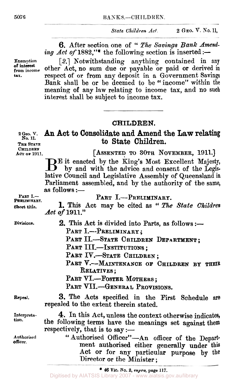*State Children Act.* **2 GEO. V. No. 11,** 

6. After section one of " The *Savings Bank Amend. ing Act of* 1882,"\* the following section is inserted :-

**Exemption [2]** Notwithstanding anything contained in any **from income** other Act, **no** sum due or payable or paid or derived **in tax.** respect of or from any deposit in a Government Savings Bank shall be or be deemed to be "income" within the meaning of any law relating to income tax, and **no** such interest shall be subject to income tax.

### **CHILDREN.**

**to State Children,** 

**2 Geo. V. An Act to Consolidate and Amend the Law relating No. 11. THE STATE** 

CHILDREN<br>**ACT OF 1911.** 

**An OF 1911. [ASSENTED TO 30TH NOVEMBER, 1911.]** 

**inc** it enacted by the King's Most Excellent Majesty, by and with the advice and consent of the Legislative Council and Legislative Assembly of Queensland in Parliament assembled, and by the authority of the same, **as** follows :-

|                           | $\infty$ iuliuws .—                                                                                                                                                    |  |  |  |  |  |  |
|---------------------------|------------------------------------------------------------------------------------------------------------------------------------------------------------------------|--|--|--|--|--|--|
| PART I.<br>PRELIMINART.   | PART I.-PRELIMINARY.                                                                                                                                                   |  |  |  |  |  |  |
| Short title.              | <b>1.</b> This Act may be cited as " The State Children<br>Act of 1911."                                                                                               |  |  |  |  |  |  |
| Divisions.                | 2. This Act is divided into Parts, as follows :-                                                                                                                       |  |  |  |  |  |  |
|                           | PART I.--PRELIMINARY;                                                                                                                                                  |  |  |  |  |  |  |
|                           | PART II.-STATE CHILDREN DEPARTMENT;                                                                                                                                    |  |  |  |  |  |  |
|                           | PART III.-INSTITUTIONS;<br>PART IV.-STATE CHILDREN;                                                                                                                    |  |  |  |  |  |  |
|                           |                                                                                                                                                                        |  |  |  |  |  |  |
|                           | PART V.-MAINTENANCE OF CHILDREN BY THEIR                                                                                                                               |  |  |  |  |  |  |
|                           | <b>RELATIVES</b> ;                                                                                                                                                     |  |  |  |  |  |  |
| PART VI.--FOSTER MOTHERS; |                                                                                                                                                                        |  |  |  |  |  |  |
|                           | PART VII.-GENERAL PROVISIONS.                                                                                                                                          |  |  |  |  |  |  |
| Repeal.                   | 3. The Acts specified in the First Schedule are<br>repealed to the extent therein stated.                                                                              |  |  |  |  |  |  |
| Interpreta-<br>tion.      | 4. In this Act, unless the context otherwise indicates,<br>the following terms have the meanings set against them<br>respectively, that is to say :-                   |  |  |  |  |  |  |
| Authorised<br>officer.    | "Authorised Officer"-An officer of the Depart-<br>ment authorised either generally under this<br>Act or for any particular purpose by the<br>Director or the Minister; |  |  |  |  |  |  |

**of interest** 

\* **46 Vic. No. 2,** *supra,* **page 117.**  Digitised by AIATSIS Library 2007 - www.aiatsis.gov.au/library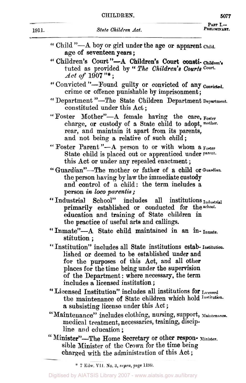|       | CHILDREN.                                                                                                                                                                                             | 5077                      |  |
|-------|-------------------------------------------------------------------------------------------------------------------------------------------------------------------------------------------------------|---------------------------|--|
| 1911. | State Children Act.                                                                                                                                                                                   | PART $L-$<br>PRELIMINABY. |  |
|       | "Child"— $A$ boy or girl under the age or apparent child.<br>age of seventeen years;                                                                                                                  |                           |  |
|       | "Children's Court"-A Children's Court consti-children's<br>tuted as provided by "The Children's Courts Court.<br>$Act of 1907$ "*;                                                                    |                           |  |
|       | "Convicted "-Found guilty or convicted of any convicted.<br>crime or offence punishable by imprisonment;                                                                                              |                           |  |
|       | "Department "-The State Children Department Department.<br>constituted under this Act;                                                                                                                |                           |  |
|       | "Foster Mother"-A female having the care, Foster<br>charge, or custody of a State child to adopt, mother.<br>rear, and maintain it apart from its parents,<br>and not being a relative of such child; |                           |  |
|       | "Foster Parent"-A person to or with whom a Foster<br>State child is placed out or apprenticed under parent.<br>this Act or under any repealed enactment;                                              |                           |  |
|       | "Guardian"—The mother or father of a child or Guardian.<br>the person having by law the immediate custody                                                                                             |                           |  |

- the person having by law the immediate **custody**  and control of a child: the term includes **a**  the person having by law the<br>
and control of a child: t<br>
person *in loco parentis*; person *in loco parentis*;<br>
"Industrial School" includes all institutions *Industrial*
- primarily established **or** conducted for the **school.**  education and training **of** State children in the practice of useful arts and callings.
- " Inmate"-A State child maintained in **an in- Inmate.**  stitution ;
- " Institution" includes all State institutions estab- **Institution.**  lished **or** deemed to be established under and for the purposes **of** this Act, and all other places **for** the time being under the supervision of the Department : where necessary, the term includes a licensed institution ;
- includes a licensed institution;<br>
"Licensed Institution" includes all institutions for Licensed the maintenance **of** State children which hold **institution.**  a subsisting license under this Act ;
- medical treatment, necessaries, training, discipline and education: "Maintenance" includes clothing, nursing, support, **Maintenance.**
- sible Minister of the Crown for the time being charged with the administration **of** this Act ; Minister"-The **Home** Secretary or other respon- **Minister "**

<sup>\* 7</sup> Edw. VII. No. 3, supra, page 1199.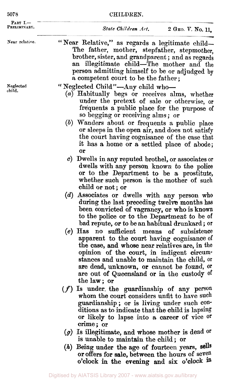| 5078                       | CHILDREN.                                                                                                                                                                                                                                                                                                                                                                                                                  |  |  |  |
|----------------------------|----------------------------------------------------------------------------------------------------------------------------------------------------------------------------------------------------------------------------------------------------------------------------------------------------------------------------------------------------------------------------------------------------------------------------|--|--|--|
| PART $I -$<br>PRELIMINARY. | State Children Art.<br>2 GEO. V. No. 11,                                                                                                                                                                                                                                                                                                                                                                                   |  |  |  |
| Near relative.             | "Near Relative," as regards a legitimate child-<br>The father, mother, stepfather, stepmother,<br>brother, sister, and grandparent; and as regards<br>an illegitimate child—The mother and the<br>person admitting himself to be or adjudged by<br>a competent court to be the father;                                                                                                                                     |  |  |  |
| Neglected<br>child.        | "Neglected Child"-Any child who-<br>(a) Habitually begs or receives alms, whether<br>under the pretext of sale or otherwise, or<br>frequents a public place for the purpose of<br>so begging or receiving alms; or<br>(b) Wanders about or frequents a public place<br>or sleeps in the open air, and does not satisfy<br>the court having cognisance of the case that<br>it has a home or a settled place of abode;<br>0r |  |  |  |
|                            | c) Dwells in any reputed brothel, or associates or<br>dwells with any person known to the police<br>or to the Department to be a prostitute,                                                                                                                                                                                                                                                                               |  |  |  |

- whether such person is the mother of such child **or not; or**  *(d)* Associates **or** dwells with any person **who during** the last preceding twelve months has been convicted **of** vagrancy, **or** who is **known**  to the police or to the Department to be of bad repute, **or** to be an habitual drunkard ; or
- *(e)* Has no sufficient means **of** subsistence apparent to the court having cognisance of the case, **and** whose near relatives are, in the opinion **of** the court, **in** indigent circumstances and unable **to** maintain the child, or are dead, **unknown, or** cannot be found, or are out **of** Queensland **or** in the custody of the law; or
- *(f)* Is under. the guardianship of **any** person whom the court considers unfit to have such guardianship; **or** is living under such conditions as to indicate that the child is lapsing or likely to lapse into a, career **of** vice or crime; or
- *(g)* Is illegitimate, and whose mother is dead **Or is** unable to maintain the child; **or**
- *(h)* Being under the age **of** fourteen years, or offers for sale, between the hours **of** seven o'clock in the evening **and** six o'clock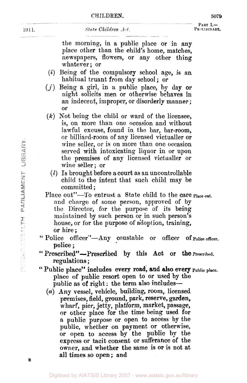State Children Act.

the morning, in a public place or in any place other than the child's home, matches, newspapers, flowers, or any other thing whatever; or

\_\_ ~--~-~ \_\_ ~ ~

- *(i)* Being of the compulsory school age, is an habitual truant from day school; or
- *(j)* Being a girl, in a public place, by day or night solicits men or otherwise behaves in an indecent, improper, or disorderly manner ; **OF**
- *(k)* Not being the child or ward of the licensee, is, on more than one occasion and without lawful excuse, found in **the** bar, bar-room, or billiard-room of any licensed victualler or wine seller, or is on more than one occasion served with intoxicating liquor in or upon the premises of **any** licensed victualler or wine seller; or
	- *(l)* Is brought before a court as an uncontrollable child to the intent that such child may be committed ;
- Place out"-To entrust a State child to the care Place out. and charge of some person, approved of by the Director, for the purpose of its being maintained by such person or in such person's house, or for the purpose of adoption, training, or hire ;
- "Police of<br>police : or hire **;**<br>lice officer''—Any constable or officer of <sub>Police officer.</sub>
- regulations ; " Prescribed"--Prescribed by this Act or the Prescribed.
- place **of** public resort open to or used by the public as of right: the term also includes-" Public place" includes every road, **and** also every **Public place.** 
	- *(a)* **Any** vessel, vehicle, building, room, licensed premises, field, **ground,** park, reserve, **garden,**  wharf, pier, jetty, platform, market, passage, **or** other place **for** the time being used for a public purpose or open to access by the public, whether on payment or otherwise, or open to access by the public **by** the **express** or tacit consent or sufferance **of** the owner, and whether the same is or is not at all times **so** open ; **and**

1911.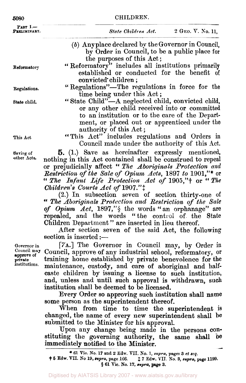| 5080                                                                 | CHILDREN.                                                                                                                                                                                                                                                                                                                                                                                                                                                                                                                                                                                                                                                                                             |  |  |  |  |  |  |
|----------------------------------------------------------------------|-------------------------------------------------------------------------------------------------------------------------------------------------------------------------------------------------------------------------------------------------------------------------------------------------------------------------------------------------------------------------------------------------------------------------------------------------------------------------------------------------------------------------------------------------------------------------------------------------------------------------------------------------------------------------------------------------------|--|--|--|--|--|--|
| PART I.<br>PRELIMINARY.                                              | State Children Act.<br>2 Себ. Г. Хо. 11,                                                                                                                                                                                                                                                                                                                                                                                                                                                                                                                                                                                                                                                              |  |  |  |  |  |  |
|                                                                      | (b) Any place declared by the Governor in Council,<br>by Order in Council, to be a public place for<br>the purposes of this Act;                                                                                                                                                                                                                                                                                                                                                                                                                                                                                                                                                                      |  |  |  |  |  |  |
| Reformatory                                                          | "Reformatory" includes all institutions primarily<br>established or conducted for the benefit of<br>convicted children;                                                                                                                                                                                                                                                                                                                                                                                                                                                                                                                                                                               |  |  |  |  |  |  |
| Regulations.                                                         | "Regulations"-The regulations in force for the<br>time being under this Act;                                                                                                                                                                                                                                                                                                                                                                                                                                                                                                                                                                                                                          |  |  |  |  |  |  |
| State child.                                                         | "State Child"—A neglected child, convicted child,<br>or any other child received into or committed<br>to an institution or to the care of the Depart-<br>ment, or placed out or apprenticed under the<br>authority of this Act;                                                                                                                                                                                                                                                                                                                                                                                                                                                                       |  |  |  |  |  |  |
| This Act.                                                            | "This Act" includes regulations and Orders in<br>Council made under the authority of this Act.                                                                                                                                                                                                                                                                                                                                                                                                                                                                                                                                                                                                        |  |  |  |  |  |  |
| Saving of<br>other Acts.                                             | 5. (1.) Save as hereinafter expressly mentioned,<br>nothing in this Act contained shall be construed to repeal<br>or prejudicially affect "The Aboriginals Protection and<br>Restriction of the Sale of Opium Acts, 1897 to 1901,"* or<br>" The Infant Life Protection Act of 1905,"+ or "The<br>Children's Courts Act of 1907.":<br>(2.) In subsection seven of section thirty-one of<br>" The Aboriginals Protection and Restriction of the Sale<br>of Opium Act, 1897,"§ the words "an orphanage" are<br>repealed, and the words "the control of the State<br>Children Department" are inserted in lieu thereof.<br>After section seven of the said Act, the following<br>$section$ is inserted :- |  |  |  |  |  |  |
| Governor in<br>Council may<br>approve of<br>private<br>institutions. | [7A.] The Governor in Council may, by Order in<br>Council, approve of any industrial school, reformatory, or<br>training home established by private benevolence for the<br>maintenance, custody, and care of aboriginal and half-<br>caste children by issuing a license to such institution,                                                                                                                                                                                                                                                                                                                                                                                                        |  |  |  |  |  |  |

and, unless and until such approval **is** withdrawn, such institution shall be deemed to be licensed.

Every Order *so* approving such institution shall **name**  some person as the superintendent thereof.

When from time to time the superintendent is changed, the name of every new superintendent shall be submitted to the Minister for his approval.

Upon any change being made in the persons constituting the governing authority, the same shall *be*  immediately notified **to** the Minister.

\* **61** Vic. **No.** 17 **and 2 Edw.** VII. **No.** 1, *supra,* **pages 3** *et seq.* 

<sup>†</sup> **5 Edw. VII. No** *19, supra,* **page 166.** ‡ **7 Edw. VII. No. 3,** *supra,* **page 1199. 61 Vic. No.** 17, **supra, page 3.**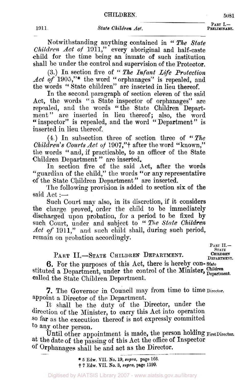Part **I.-**<br>Preliminart. -<br>--<br>--

Notwithstanding anything contained in **"** *The State Children. Act of* 1911," every aboriginal and half-caste child for the time being an inmate of such institution shall be under the control and supervision of the Protector.

**(3.)** In section five of " *The Infant Life Protection Act of* **1905,''\*** the word "orphanages" is repealed, and the words " State children" are inserted in lieu thereof.

In the second paragraph of section eleven of the said Act, the words "a State inspector of orphanages" are repealed, and the words "the State Children Department" are inserted in lieu thereof; also, the word "inspector" is repealed, and the word "Department" is inserted in lieu thereof.

**(4)** In subsection three of section three of *"The Children's Courts Act of 1907,*"† after the word "known," the words "and, if practicable, to an officer of the State Children Department " are inserted.

In section five of the said **Act,** after the words "guardian of the child," the words "or any representative **of** the State Children Department " are inserted.

The following provision is added to section six of the said  $Act :=$ 

Such Court may also, in its discretion, if it considers the charge proved, order the child to be immediately discharged upon probation, for a period to be fixed **by**  such Court, under and subject to **"** *The State Children Act of* **1911,"** and such child shall, during such period, remain on probation accordingly.

PART II.-STATE CHILDREN DEPARTMENT. CHILDREN DEPARTMENT.

**PART II.-**  STATE<br>**CHILDREN** 

**6.** For the purposes of this Act, there is hereby con-State stituted a Department, under the control of the Minister, **Children** children called the State Children Department.

7. The Governor in Council may from time to time Director. appoint a Director of the Department.

It shall be the duty of the Director, under the direction of the Minister, to carry this Act into operation *SO* far as the execution thereof is not expressly committed to any other person.

at the date **of** the passing of this Act the office of Inspector of Orphanages shall be and act as the Director. Until other appointment is made, the person holding First Director.

<sup>\*</sup> *5* **Edw. VII. NO.** 19, *supra,* page **166.**  † **7 Edw. VII. No. 3,** *supra,* **page** 1199.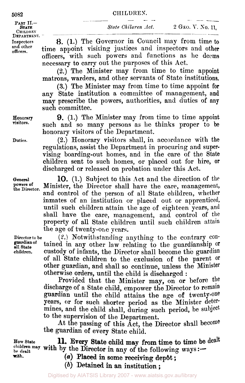**5082**<br>**PART II.- PART II.- PART II.-**CHILDREN<br>DEPARTMENT.

**Inspectors and officers. other** 

DEPARTMENT. – SHALL SHALL SHALL LEVEL **2** GLO. 11.110. 11,

**CHILDREN.**<br> **STATE**<br> **STATE**<br> **STATE**<br> **STATE**<br> **STATE**<br> **STATE**<br> **STATE**<br> **STATE**<br> **STATE**<br> **STATE**<br> **CO.** <br> **CO. 11,**<br> **CO. 11,**<br> **CO. 11,**<br> **CO. 11,** 

*8.* (1.) The Governor in Council may from time to time appoint visiting justices and inspectors and other officers, with such powers and functions as he deems necessary to carry out the purposes of this Act.

**(2.)** The Minister may from time to time appoint matrons, warders, and other servants of State institutions.

**(3.)** The Minister may from time to time appoint for any State institution a committee **of** management, and **may** prescribe the powers, authorities, and duties of **any**  such committee.

**9.** (1.) The Minister may from time to time appoint such and so many persons as he thinks proper to be honorary visitors of the Department.

(2.) Honorary visitors shall, in accordance with the regulations, assist the Department in procuring and supervising boarding-out homes, and in the care of the State children sent to such homes, or placed out for hire, or discharged or released on probation under this Act.

**10. (1.)** Subject to this Act and the direction of the Minister, the Director shall have the care, management, and control of the person of all State children, whether inmates of an institution or placed out or apprenticed, until such children attain the age of eighteen years, and shall have the care, management, and control of the property of all State children until such children attain the age of twenty-one years.

**(2.)** Notwithstanding anything to the contrary contained in any other law relating to the guardianship or custody of infants, the Director shall become the guardian of all State children to the exclusion of the parent *or*  other guardian, and shall so continue, unless the Minister otherwise orders, until the child is discharged :

Provided that the Minister may, on **or** before the discharge **of a** State child, empower the Director to remain guardian until the child attains the age of twenty-one years, **or** for such shorter period as the Minister determines, and the child shall, during such period, be subject to the supervision **of** the Department.

**At** the passing **of** this Act, the Director shall become the guardian **of** every State child.

**HOW State** 

**11.** Every State child **may from** time to time be dealt now state **iii.** Every state child may from time to time be children may with by the Director in any of the following ways :-

with. *(a)* Placed in some receiving depot ;<br> **(a)** Placed in some receiving depot ; *(b)* Detained **in an** institution ;

**Honorary visitors.** 

**Duties.** 

**General powers of the Director.** 

**Director** to **be** 

**children. guardian of all State**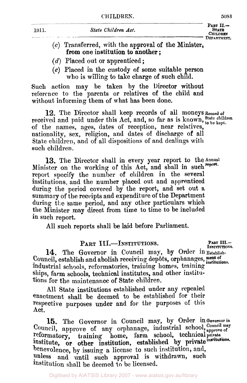| $\sim$<br>×<br>٠ |
|------------------|
|------------------|

| 1911. | State Children Act.                                 | PART $II -$<br><b>STATE</b><br><b>CHILDREN</b> |
|-------|-----------------------------------------------------|------------------------------------------------|
|       | $(a)$ Transformed with the annuaval of the Minister | DEPARTMENT.                                    |

- **(c)** Transferred, with the approval of the Minister, **from** one institution to another ;
- *(d)* Placed out or apprenticed ;
- *(e)* Placed in the custody **of** some suitable person who is willing to take charge **of** such child.

Such action may be taken by the Director without refercnce to the parents or relatives of the child **and**  without informing them **of** what has been done.

received and paid under this Act, and, so far as is known, State children of the names, ages, dates of reception, near relatives, nationality, sex, religion, and dates of discharge of all State children, and of all dispositions of and dealings with such children. **12.** The Director shall keep records of all moneys **Record of** 

**13.** The Director shall in every year report to the Annual Minister on the working of this Act, and shall in such **report.**  report specify the number of children in the several institutions, and the number placed out and apprenticed during the period covered by the report, and set out a summary of the receipts and expenditure **of** the Department during the same period, and any other particulars which the Minister may direct **from** time to time to be included in such report,

All such reports shall be laid before Parliament.

## **PART III.**-INSTITUTIONS. PART III.-

**14.** The Governor in Council may, by Order **in Establish-**Council, establish and abolish receiving depôts, orphanages, ment of industrial schools, reformatories, training homes, training ships, farm schools, technical institutes, and other institutions for the maintenance of State children. institutions.

All State institutions established under any repealed enactment shall be deemed to be established for their respective purposes under and for the purposes of this Act.

**15.** The Governor in Council may, **by** Order in Governor in Council, approve of any orphanage, industrial school, Council may reformatory, training home, farm school, technical private training home, farm school, technical private benevolence, by issuing a license to such institution, and, unless and until such approval is withdrawn, such institution shall be deemed to be licensed. institute, or other institution, established by private institutions.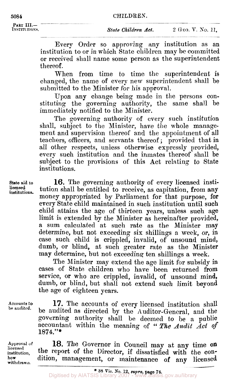**PART III.-**<br>INSTITUTIONS.

Every Order so approving any institution as an institution to or in which State children may be committed or received shall name some person as the superintendent thereof.

When from time to time the superintendent is changed, the name of every new superintendent shall be submitted to the Minister for his approval.

Upon any change being made in the persons constituting the governing authority, the same shall be immediately notified to the Minister.

The governing authority of every such institution shall, subject to the Minister, have the whole management and supervision thereof and the appointment of all teachers, officers, and servants thereof; provided that in all other respects, unless otherwise expressly provided, every such institution and the inmates thereof shall be subject to the provisions of this Act relating to State institutions.

**State** aid to **licensed**  institutions.

**16.** The governing authority of every licensed institution shall be entitled to receive, as capitation, from any money appropriated by Parliament **for** that purpose, **for**  every State child maintained in such institution until such child attains the age of thirteen years, unless such age limit is extended by the Minister as hereinafter provided, a sum calculated at such rate as the Minister may determine, but not exceeding six shillings a week, or, in case such child is crippled, invalid, of unsound mind, dumb, or blind, at such greater rate as the Minister may determine, but not exceeding ten shillings a week.

The Minister may extend the age limit for subsidy in cases of State children who have been returned from service, or who are crippled, invalid, of unsound mind, dumb, or blind, but shall not extend such limit beyond the age of eighteen years.

Accounts **to be** audited.

**17.** The accounts *of* every licensed institution shall be audited as directed by the Auditor-General, and the governing authority shall be deemed to be a public accountant within the meaning of "The Audit Act of **1874."\*** 

**Approval of**  licensed institution, **how**  withdrawn.

18. The Governor in Council may at any time on the report **of** the Director, if dissatisfied with the condition, management, or maintenance of **any** licensed

**<sup>38</sup>**Vic. **No.** 12, *supra,* page **74.**  Digitised by AIATSIS Library 2007 - www.aiatsis.gov.au/library